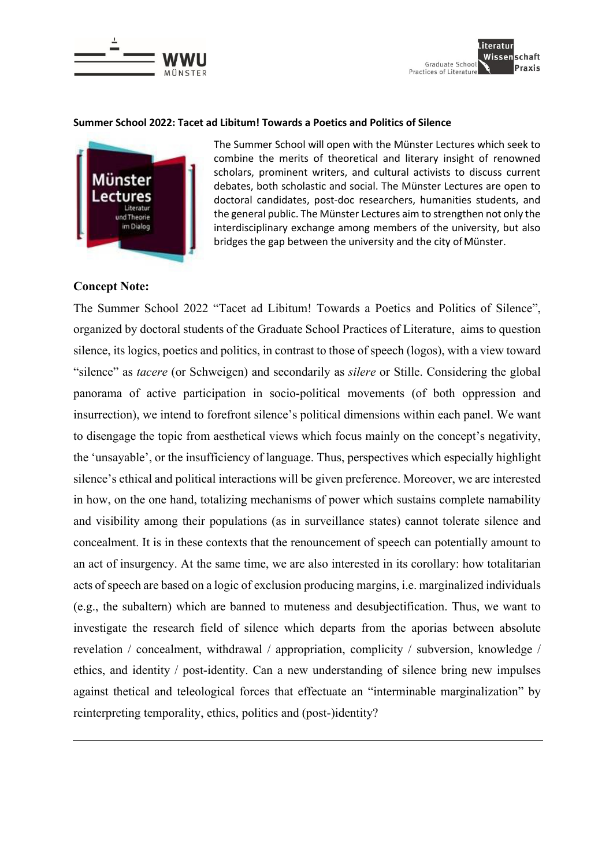



#### **Summer School 2022: Tacet ad Libitum! Towards a Poetics and Politics of Silence**



The Summer School will open with the Münster Lectures which seek to combine the merits of theoretical and literary insight of renowned scholars, prominent writers, and cultural activists to discuss current debates, both scholastic and social. The Münster Lectures are open to doctoral candidates, post-doc researchers, humanities students, and the general public. The Münster Lectures aim to strengthen not only the interdisciplinary exchange among members of the university, but also bridges the gap between the university and the city of Münster.

#### **Concept Note:**

The Summer School 2022 "Tacet ad Libitum! Towards a Poetics and Politics of Silence", organized by doctoral students of the Graduate School Practices of Literature, aims to question silence, its logics, poetics and politics, in contrast to those of speech (logos), with a view toward "silence" as *tacere* (or Schweigen) and secondarily as *silere* or Stille. Considering the global panorama of active participation in socio-political movements (of both oppression and insurrection), we intend to forefront silence's political dimensions within each panel. We want to disengage the topic from aesthetical views which focus mainly on the concept's negativity, the 'unsayable', or the insufficiency of language. Thus, perspectives which especially highlight silence's ethical and political interactions will be given preference. Moreover, we are interested in how, on the one hand, totalizing mechanisms of power which sustains complete namability and visibility among their populations (as in surveillance states) cannot tolerate silence and concealment. It is in these contexts that the renouncement of speech can potentially amount to an act of insurgency. At the same time, we are also interested in its corollary: how totalitarian acts of speech are based on a logic of exclusion producing margins, i.e. marginalized individuals (e.g., the subaltern) which are banned to muteness and desubjectification. Thus, we want to investigate the research field of silence which departs from the aporias between absolute revelation / concealment, withdrawal / appropriation, complicity / subversion, knowledge / ethics, and identity / post-identity. Can a new understanding of silence bring new impulses against thetical and teleological forces that effectuate an "interminable marginalization" by reinterpreting temporality, ethics, politics and (post-)identity?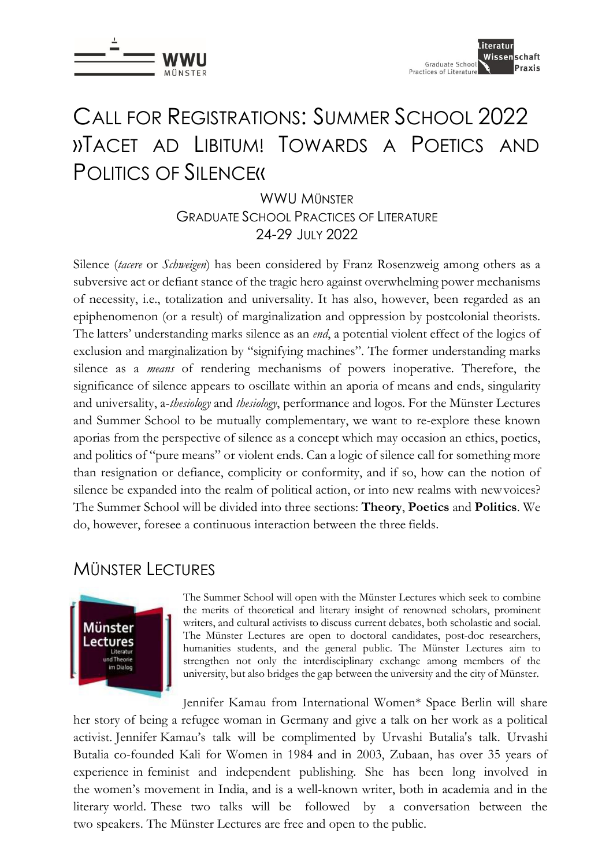

## CALL FOR REGISTRATIONS: SUMMER SCHOOL 2022 »TACET AD LIBITUM! TOWARDS A POETICS AND POLITICS OF SILENCE«

WWIJ MÜNSTER GRADUATE SCHOOL PRACTICES OF LITERATURE 24-29 JULY 2022

Silence (*tacere* or *Schweigen*) has been considered by Franz Rosenzweig among others as a subversive act or defiant stance of the tragic hero against overwhelming power mechanisms of necessity, i.e., totalization and universality. It has also, however, been regarded as an epiphenomenon (or a result) of marginalization and oppression by postcolonial theorists. The latters' understanding marks silence as an *end*, a potential violent effect of the logics of exclusion and marginalization by "signifying machines". The former understanding marks silence as a *means* of rendering mechanisms of powers inoperative. Therefore, the significance of silence appears to oscillate within an aporia of means and ends, singularity and universality, a-*thesiology* and *thesiology*, performance and logos. For the Münster Lectures and Summer School to be mutually complementary, we want to re-explore these known aporias from the perspective of silence as a concept which may occasion an ethics, poetics, and politics of "pure means" or violent ends. Can a logic of silence call for something more than resignation or defiance, complicity or conformity, and if so, how can the notion of silence be expanded into the realm of political action, or into new realms with newvoices? The Summer School will be divided into three sections: **Theory**, **Poetics** and **Politics**. We do, however, foresee a continuous interaction between the three fields.

### MÜNSTER LECTURES



The Summer School will open with the Münster Lectures which seek to combine the merits of theoretical and literary insight of renowned scholars, prominent writers, and cultural activists to discuss current debates, both scholastic and social. The Münster Lectures are open to doctoral candidates, post-doc researchers, humanities students, and the general public. The Münster Lectures aim to strengthen not only the interdisciplinary exchange among members of the university, but also bridges the gap between the university and the city of Münster.

Jennifer Kamau from International Women\* Space Berlin will share her story of being a refugee woman in Germany and give a talk on her work as a political activist. Jennifer Kamau's talk will be complimented by Urvashi Butalia's talk. Urvashi Butalia co-founded Kali for Women in 1984 and in 2003, Zubaan, has over 35 years of experience in feminist and independent publishing. She has been long involved in the women's movement in India, and is a well-known writer, both in academia and in the literary world. These two talks will be followed by a conversation between the two speakers. The Münster Lectures are free and open to the public.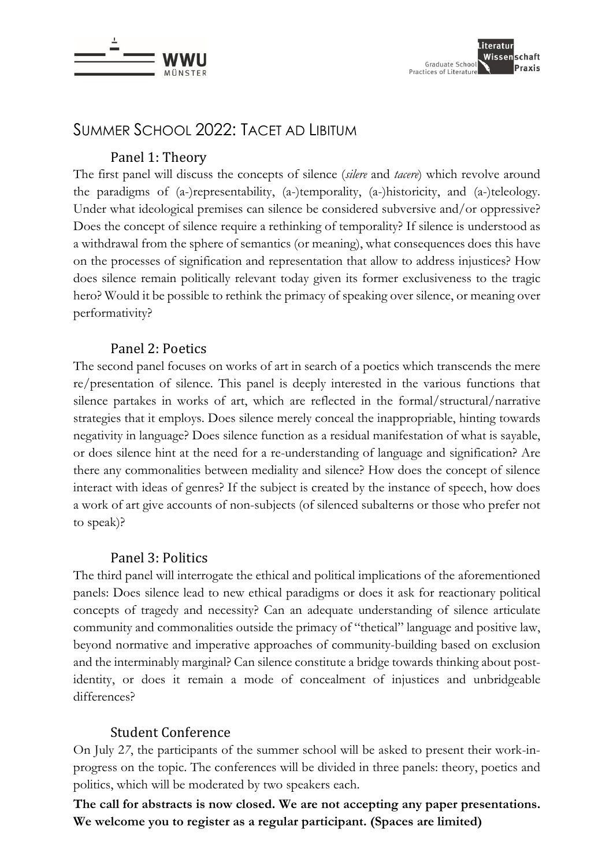

### SUMMER SCHOOL 2022: TACET AD LIBITUM

### Panel 1: Theory

The first panel will discuss the concepts of silence (*silere* and *tacere*) which revolve around the paradigms of (a-)representability, (a-)temporality, (a-)historicity, and (a-)teleology. Under what ideological premises can silence be considered subversive and/or oppressive? Does the concept of silence require a rethinking of temporality? If silence is understood as a withdrawal from the sphere of semantics (or meaning), what consequences does this have on the processes of signification and representation that allow to address injustices? How does silence remain politically relevant today given its former exclusiveness to the tragic hero? Would it be possible to rethink the primacy of speaking over silence, or meaning over performativity?

### Panel 2: Poetics

The second panel focuses on works of art in search of a poetics which transcends the mere re/presentation of silence. This panel is deeply interested in the various functions that silence partakes in works of art, which are reflected in the formal/structural/narrative strategies that it employs. Does silence merely conceal the inappropriable, hinting towards negativity in language? Does silence function as a residual manifestation of what is sayable, or does silence hint at the need for a re-understanding of language and signification? Are there any commonalities between mediality and silence? How does the concept of silence interact with ideas of genres? If the subject is created by the instance of speech, how does a work of art give accounts of non-subjects (of silenced subalterns or those who prefer not to speak)?

#### Panel 3: Politics

The third panel will interrogate the ethical and political implications of the aforementioned panels: Does silence lead to new ethical paradigms or does it ask for reactionary political concepts of tragedy and necessity? Can an adequate understanding of silence articulate community and commonalities outside the primacy of "thetical" language and positive law, beyond normative and imperative approaches of community-building based on exclusion and the interminably marginal? Can silence constitute a bridge towards thinking about postidentity, or does it remain a mode of concealment of injustices and unbridgeable differences?

### Student Conference

On July 2*7*, the participants of the summer school will be asked to present their work-inprogress on the topic. The conferences will be divided in three panels: theory, poetics and politics, which will be moderated by two speakers each.

**The call for abstracts is now closed. We are not accepting any paper presentations. We welcome you to register as a regular participant. (Spaces are limited)**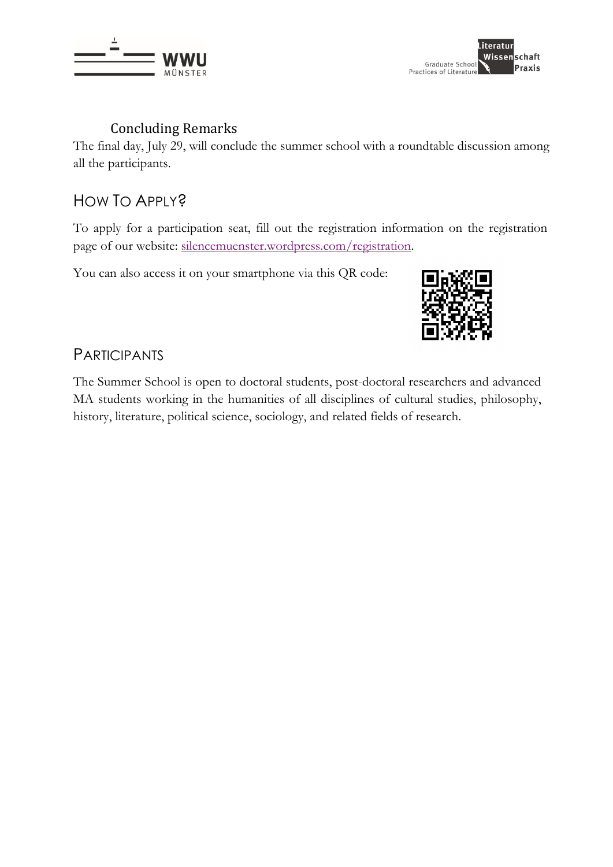



### Concluding Remarks

The final day, July 29, will conclude the summer school with a roundtable discussion among all the participants.

### HOW TO APPLY?

To apply for a participation seat, fill out the registration information on the registration page of our website: silencemuenster.wordpress.com/registration.

You can also access it on your smartphone via this QR code:



### PARTICIPANTS

The Summer School is open to doctoral students, post-doctoral researchers and advanced MA students working in the humanities of all disciplines of cultural studies, philosophy, history, literature, political science, sociology, and related fields of research.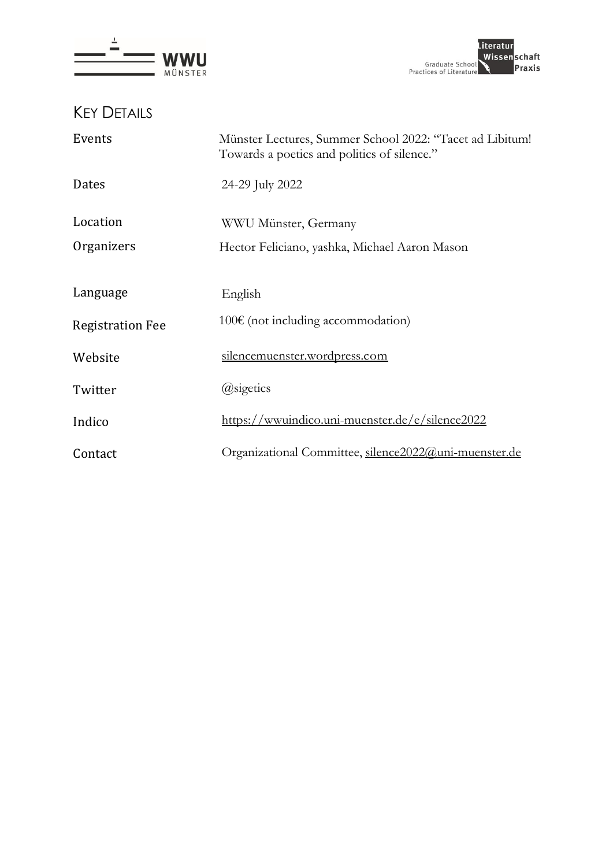



KEY DETAILS

| Events                  | Münster Lectures, Summer School 2022: "Tacet ad Libitum!<br>Towards a poetics and politics of silence." |
|-------------------------|---------------------------------------------------------------------------------------------------------|
| Dates                   | 24-29 July 2022                                                                                         |
| Location                | WWU Münster, Germany                                                                                    |
| Organizers              | Hector Feliciano, yashka, Michael Aaron Mason                                                           |
| Language                | English                                                                                                 |
| <b>Registration Fee</b> | $100€$ (not including accommodation)                                                                    |
| Website                 | silencemuenster.wordpress.com                                                                           |
| Twitter                 | @sigetics                                                                                               |
| Indico                  | https://wwuindico.uni-muenster.de/e/silence2022                                                         |
| Contact                 | Organizational Committee, silence2022@uni-muenster.de                                                   |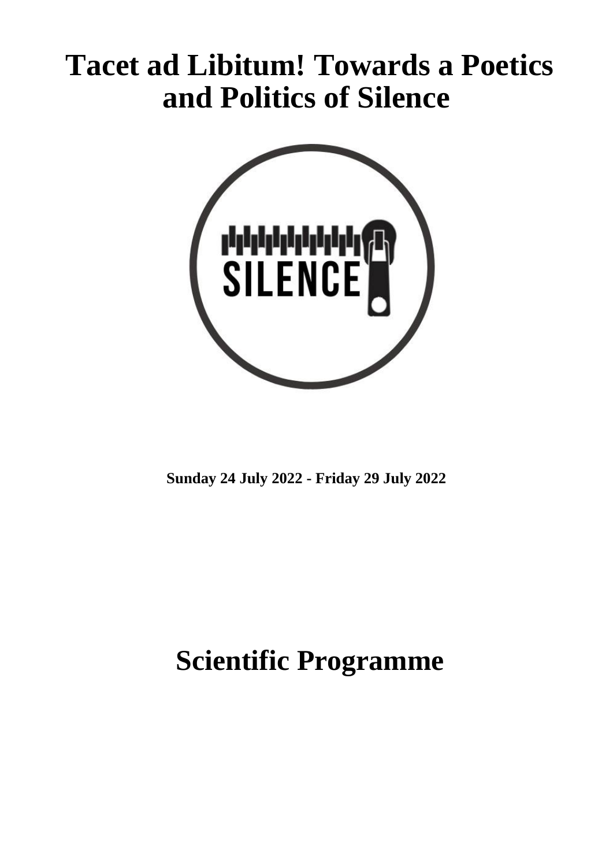# **Tacet ad Libitum! Towards a Poetics and Politics of Silence**



**Sunday 24 July 2022 - Friday 29 July 2022**

## **Scientific Programme**